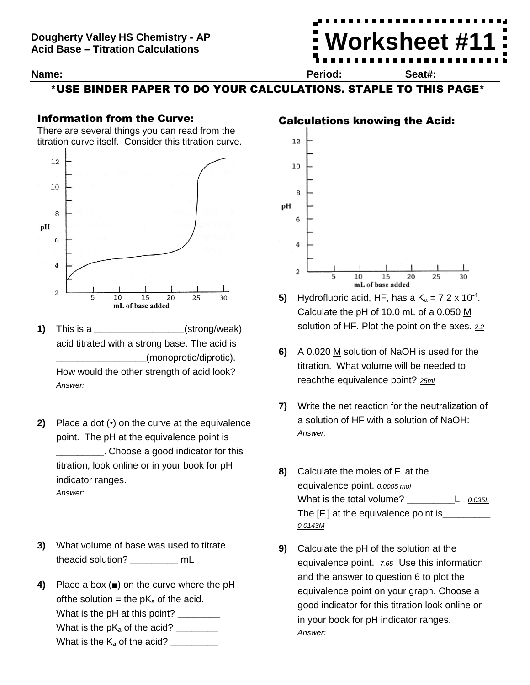#### **Name: Period: Seat#:**

**Worksheet #11**

\*USE BINDER PAPER TO DO YOUR CALCULATIONS. STAPLE TO THIS PAGE\*

## Information from the Curve:

There are several things you can read from the titration curve itself. Consider this titration curve.



- **1)** This is a **a** *(strong/weak)* acid titrated with a strong base. The acid is **\_\_\_\_\_\_\_\_\_\_\_\_\_\_\_\_\_**(monoprotic/diprotic). How would the other strength of acid look? *Answer:*
- **2)** Place a dot (•) on the curve at the equivalence point. The pH at the equivalence point is **\_\_\_\_\_\_\_\_\_**. Choose a good indicator for this titration, look online or in your book for pH indicator ranges. *Answer:*
- **3)** What volume of base was used to titrate theacid solution? **\_\_\_\_\_\_\_\_\_** mL
- **4)** Place a box (■) on the curve where the pH of the solution = the  $pK_a$  of the acid. What is the pH at this point? **\_\_\_\_\_\_\_\_** What is the pK<sub>a</sub> of the acid? \_\_\_\_\_\_\_\_\_ What is the K<sup>a</sup> of the acid? **\_\_\_\_\_\_\_\_\_**

 $12$ 



Calculations knowing the Acid:

- **5)** Hydrofluoric acid, HF, has a  $K_a = 7.2 \times 10^{-4}$ . Calculate the pH of 10.0 mL of a 0.050 M solution of HF. Plot the point on the axes. *2.2*
- **6)** A 0.020 M solution of NaOH is used for the titration. What volume will be needed to reachthe equivalence point? *25ml*
- **7)** Write the net reaction for the neutralization of a solution of HF with a solution of NaOH: *Answer:*
- **8)** Calculate the moles of F- at the equivalence point. *0.0005 mol* What is the total volume? **\_\_\_\_\_\_\_\_\_**L *0.035L* The [F- ] at the equivalence point is**\_\_\_\_\_\_\_\_\_** *0.0143M*
- **9)** Calculate the pH of the solution at the equivalence point. *7.65* Use this information and the answer to question 6 to plot the equivalence point on your graph. Choose a good indicator for this titration look online or in your book for pH indicator ranges. *Answer:*